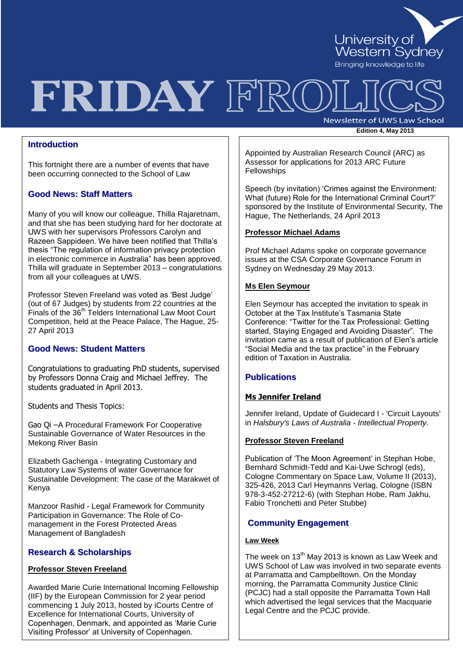

# FRIDAY FRC

**Newsletter of UWS Law School Edition 4, May 2013**

## **Introduction**

This fortnight there are a number of events that have been occurring connected to the School of Law

## **Good News: Staff Matters**

Many of you will know our colleague, Thilla Rajaretnam, and that she has been studying hard for her doctorate at UWS with her supervisors Professors Carolyn and Razeen Sappideen. We have been notified that Thilla"s thesis "The regulation of information privacy protection in electronic commerce in Australia" has been approved. Thilla will graduate in September 2013 – congratulations from all your colleagues at UWS.

Professor Steven Freeland was voted as "Best Judge" (out of 67 Judges) by students from 22 countries at the Finals of the 36<sup>th</sup> Telders International Law Moot Court Competition, held at the Peace Palace, The Hague, 25- 27 April 2013

## **Good News: Student Matters**

Congratulations to graduating PhD students, supervised by Professors Donna Craig and Michael Jeffrey. The students graduated in April 2013.

Students and Thesis Topics:

Gao Qi –A Procedural Framework For Cooperative Sustainable Governance of Water Resources in the Mekong River Basin

Elizabeth Gachenga - Integrating Customary and Statutory Law Systems of water Governance for Sustainable Development: The case of the Marakwet of Kenya

Manzoor Rashid - Legal Framework for Community Participation in Governance: The Role of Comanagement in the Forest Protected Areas Management of Bangladesh

## **Research & Scholarships**

## **Professor Steven Freeland**

Awarded Marie Curie International Incoming Fellowship (IIF) by the European Commission for 2 year period commencing 1 July 2013, hosted by iCourts Centre of Excellence for International Courts, University of Copenhagen, Denmark, and appointed as "Marie Curie Visiting Professor" at University of Copenhagen.

Appointed by Australian Research Council (ARC) as Assessor for applications for 2013 ARC Future **Fellowships** 

Speech (by invitation) "Crimes against the Environment: What (future) Role for the International Criminal Court?" sponsored by the Institute of Environmental Security, The Hague, The Netherlands, 24 April 2013

#### **Professor Michael Adams**

Prof Michael Adams spoke on corporate governance issues at the CSA Corporate Governance Forum in Sydney on Wednesday 29 May 2013.

#### **Ms Elen Seymour**

Elen Seymour has accepted the invitation to speak in October at the Tax Institute's Tasmania State Conference: "Twitter for the Tax Professional: Getting started, Staying Engaged and Avoiding Disaster". The invitation came as a result of publication of Elen"s article "Social Media and the tax practice" in the February edition of Taxation in Australia.

## **Publications**

#### **Ms Jennifer Ireland**

Jennifer Ireland, Update of Guidecard I - 'Circuit Layouts' in *Halsbury's Laws of Australia - Intellectual Property.*

#### **Professor Steven Freeland**

Publication of 'The Moon Agreement' in Stephan Hobe, Bernhard Schmidt-Tedd and Kai-Uwe Schrogl (eds), Cologne Commentary on Space Law, Volume II (2013), 325-426, 2013 Carl Heymanns Verlag, Cologne (ISBN 978-3-452-27212-6) (with Stephan Hobe, Ram Jakhu, Fabio Tronchetti and Peter Stubbe)

## **Community Engagement**

## **Law Week**

The week on  $13<sup>th</sup>$  May 2013 is known as Law Week and UWS School of Law was involved in two separate events at Parramatta and Campbelltown. On the Monday morning, the Parramatta Community Justice Clinic (PCJC) had a stall opposite the Parramatta Town Hall which advertised the legal services that the Macquarie Legal Centre and the PCJC provide.